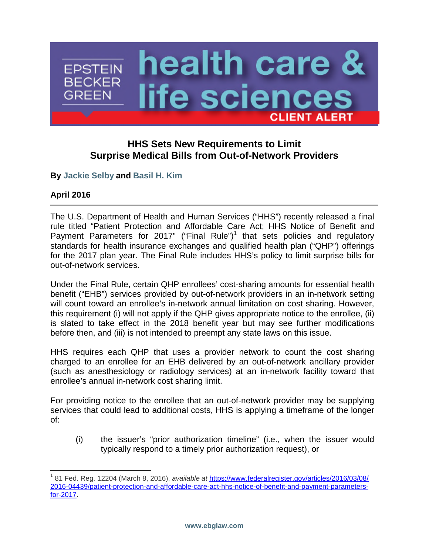

# **HHS Sets New Requirements to Limit Surprise Medical Bills from Out-of-Network Providers**

**By [Jackie Selby](http://www.ebglaw.com/jackie-selby/) and [Basil H. Kim](http://www.ebglaw.com/basil-h-kim/)**

# **April 2016**

The U.S. Department of Health and Human Services ("HHS") recently released a final rule titled "Patient Protection and Affordable Care Act; HHS Notice of Benefit and Payment Parameters for 20[1](#page-0-0)7" ("Final Rule")<sup>1</sup> that sets policies and regulatory standards for health insurance exchanges and qualified health plan ("QHP") offerings for the 2017 plan year. The Final Rule includes HHS's policy to limit surprise bills for out-of-network services.

Under the Final Rule, certain QHP enrollees' cost-sharing amounts for essential health benefit ("EHB") services provided by out-of-network providers in an in-network setting will count toward an enrollee's in-network annual limitation on cost sharing. However, this requirement (i) will not apply if the QHP gives appropriate notice to the enrollee, (ii) is slated to take effect in the 2018 benefit year but may see further modifications before then, and (iii) is not intended to preempt any state laws on this issue.

HHS requires each QHP that uses a provider network to count the cost sharing charged to an enrollee for an EHB delivered by an out-of-network ancillary provider (such as anesthesiology or radiology services) at an in-network facility toward that enrollee's annual in-network cost sharing limit.

For providing notice to the enrollee that an out-of-network provider may be supplying services that could lead to additional costs, HHS is applying a timeframe of the longer of:

(i) the issuer's "prior authorization timeline" (i.e., when the issuer would typically respond to a timely prior authorization request), or

<span id="page-0-0"></span><sup>1</sup> 81 Fed. Reg. 12204 (March 8, 2016), *available at* https://www.federalregister.gov/articles/2016/03/08/ [2016-04439/patient-protection-and-affordable-care-act-hhs-notice-of-benefit-and-payment-parameters](https://www.federalregister.gov/articles/2016/03/08/2016-04439/patient-protection-and-affordable-care-act-hhs-notice-of-benefit-and-payment-parameters-for-2017)for-2017.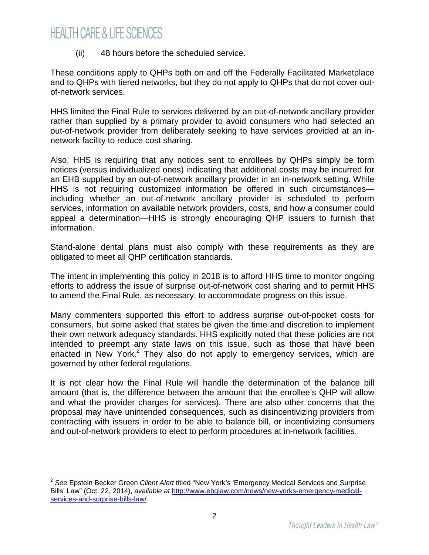# **HEALTH CARE & LIFE SCIENCES**

(ii) 48 hours before the scheduled service.

These conditions apply to QHPs both on and off the Federally Facilitated Marketplace and to QHPs with tiered networks, but they do not apply to QHPs that do not cover outof-network services.

HHS limited the Final Rule to services delivered by an out-of-network ancillary provider rather than supplied by a primary provider to avoid consumers who had selected an out-of-network provider from deliberately seeking to have services provided at an innetwork facility to reduce cost sharing.

Also, HHS is requiring that any notices sent to enrollees by QHPs simply be form notices (versus individualized ones) indicating that additional costs may be incurred for an EHB supplied by an out-of-network ancillary provider in an in-network setting. While HHS is not requiring customized information be offered in such circumstances including whether an out-of-network ancillary provider is scheduled to perform services, information on available network providers, costs, and how a consumer could appeal a determination—HHS is strongly encouraging QHP issuers to furnish that information.

Stand-alone dental plans must also comply with these requirements as they are obligated to meet all QHP certification standards.

The intent in implementing this policy in 2018 is to afford HHS time to monitor ongoing efforts to address the issue of surprise out-of-network cost sharing and to permit HHS to amend the Final Rule, as necessary, to accommodate progress on this issue.

Many commenters supported this effort to address surprise out-of-pocket costs for consumers, but some asked that states be given the time and discretion to implement their own network adequacy standards. HHS explicitly noted that these policies are not intended to preempt any state laws on this issue, such as those that have been enactedin New York[.](#page-1-0)<sup>2</sup> They also do not apply to emergency services, which are governed by other federal regulations.

It is not clear how the Final Rule will handle the determination of the balance bill amount (that is, the difference between the amount that the enrollee's QHP will allow and what the provider charges for services). There are also other concerns that the proposal may have unintended consequences, such as disincentivizing providers from contracting with issuers in order to be able to balance bill, or incentivizing consumers and out-of-network providers to elect to perform procedures at in-network facilities.

<span id="page-1-0"></span><sup>2</sup> *See* Epstein Becker Green *Client Alert* titled "New York's 'Emergency Medical Services and Surprise Bills' Law" (Oct. 22, 2014), *available at* http://www.ebglaw.com/news/new-yorks-emergency-medicalservices-and-surprise-bills-law/.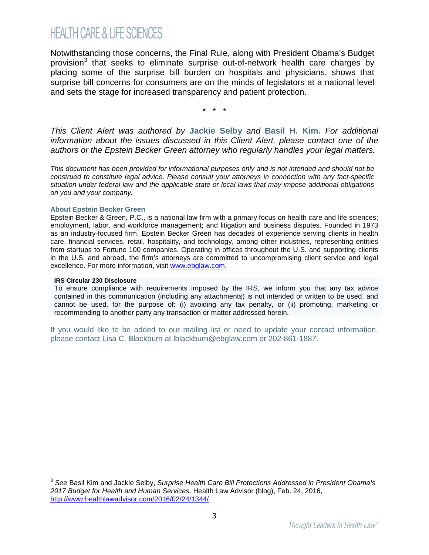# **HEALTH CARE & LIFE SCIENCES**

Notwithstanding those concerns, the Final Rule, along with President Obama's Budget provision<sup>[3](#page-2-0)</sup> that seeks to eliminate surprise out-of-network health care charges by placing some of the surprise bill burden on hospitals and physicians, shows that surprise bill concerns for consumers are on the minds of legislators at a national level and sets the stage for increased transparency and patient protection.

\* \* \*

*This Client Alert was authored by* **[Jackie Selby](http://www.ebglaw.com/jackie-selby/)** *and* **[Basil H. Kim](http://www.ebglaw.com/basil-h-kim/).** *For additional information about the issues discussed in this Client Alert, please contact one of the authors or the Epstein Becker Green attorney who regularly handles your legal matters.*

*This document has been provided for informational purposes only and is not intended and should not be construed to constitute legal advice. Please consult your attorneys in connection with any fact-specific situation under federal law and the applicable state or local laws that may impose additional obligations on you and your company.*

#### **About Epstein Becker Green**

Epstein Becker & Green, P.C., is a national law firm with a primary focus on health care and life sciences; employment, labor, and workforce management; and litigation and business disputes. Founded in 1973 as an industry-focused firm, Epstein Becker Green has decades of experience serving clients in health care, financial services, retail, hospitality, and technology, among other industries, representing entities from startups to Fortune 100 companies. Operating in offices throughout the U.S. and supporting clients in the U.S. and abroad, the firm's attorneys are committed to uncompromising client service and legal excellence. For more information, visit [www.ebglaw.com](http://www.ebglaw.com/).

#### **IRS Circular 230 Disclosure**

To ensure compliance with requirements imposed by the IRS, we inform you that any tax advice contained in this communication (including any attachments) is not intended or written to be used, and cannot be used, for the purpose of: (i) avoiding any tax penalty, or (ii) promoting, marketing or recommending to another party any transaction or matter addressed herein.

If you would like to be added to our mailing list or need to update your contact information, please contact Lisa C. Blackburn at lblackburn@ebglaw.com or 202-861-1887.

<span id="page-2-0"></span><sup>3</sup> *See* Basil Kim and Jackie Selby, *Surprise Health Care Bill Protections Addressed in President Obama's 2017 Budget for Health and Human Services,* Health Law Advisor (blog), Feb. 24, 2016, http://www.healthlawadvisor.com/2016/02/24/1344/.